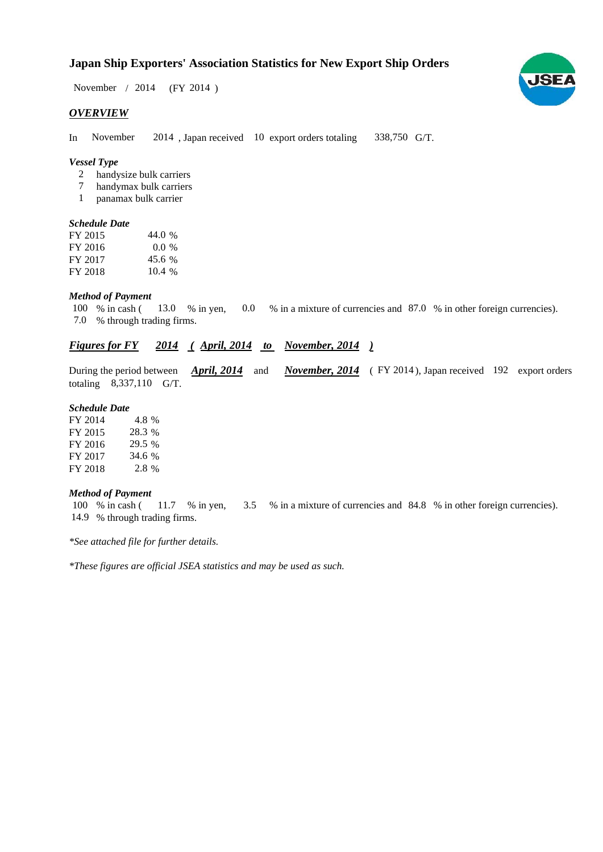## **Japan Ship Exporters' Association Statistics for New Export Ship Orders**

November / 2014 (FY 2014)

#### *OVERVIEW*

In November 2014, Japan received 10 export orders totaling 338,750 G/T. November

## *Vessel Type*

- handysize bulk carriers 2
- handymax bulk carriers 7
- panamax bulk carrier 1

#### *Schedule Date*

| FY 2015 | 44.0 %  |
|---------|---------|
| FY 2016 | $0.0\%$ |
| FY 2017 | 45.6 %  |
| FY 2018 | 10.4%   |

#### *Method of Payment*

% in cash ( $\frac{13.0}{8}$  in yen,  $\frac{0.0}{8}$  in a mixture of currencies and 87.0 % in other foreign currencies). % through trading firms. 7.0 100 % in cash ( $13.0$  % in yen,

## *Figures for FY* 2014 (*April, 2014 to November, 2014* )

During the period between *April, 2014* and *November, 2014* (FY 2014), Japan received 192 export orders totaling  $8,337,110$  G/T. During the period between *April, 2014* and

#### *Schedule Date*

FY 2014 FY 2015 FY 2016 FY 2017 FY 2018 29.5 % 4.8 28.3 % 34.6 2.8 %

### *Method of Payment*

% in cash ( $11.7$  % in yen,  $3.5$  % in a mixture of currencies and 84.8 % in other foreign currencies). % through trading firms. 14.9 100 % in cash  $(11.7 \% \text{ in yen})$ 

*\*See attached file for further details.*

*\*These figures are official JSEA statistics and may be used as such.*

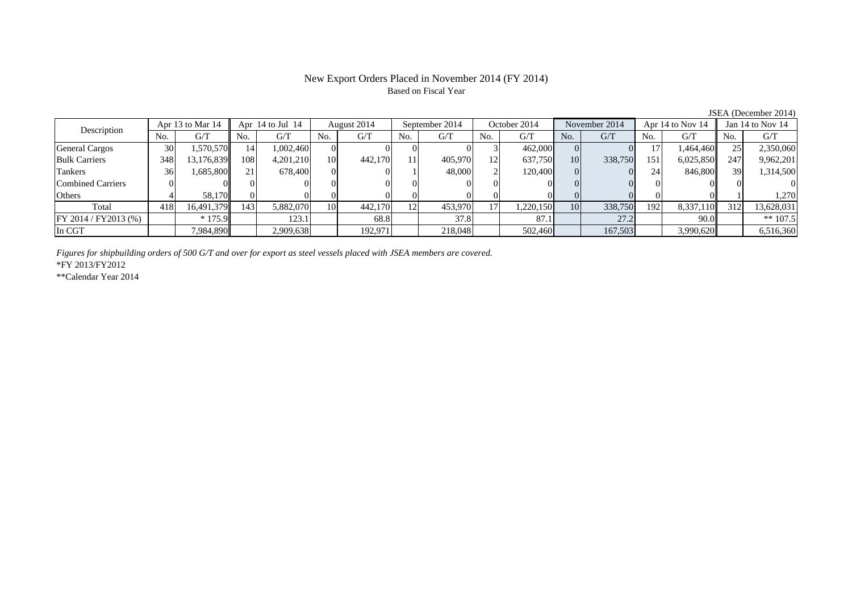## New Export Orders Placed in November 2014 (FY 2014) Based on Fiscal Year

JSEA (December 2014)

| Description              | Apr 13 to Mar 14 |            | Apr $14$ to Jul $14$ |           | August 2014 |         | September 2014 |         | October 2014 |           | November 2014 |         | Apr 14 to Nov 14 |           | Jan $14$ to Nov $14$ |            |
|--------------------------|------------------|------------|----------------------|-----------|-------------|---------|----------------|---------|--------------|-----------|---------------|---------|------------------|-----------|----------------------|------------|
|                          | No.              | G/T        | No.                  | G/T       | No.         | G/T     | No.            | G/T     | No.          | G/T       | No.           | G/T     | No.              | G/T       | No.                  | G/T        |
| <b>General Cargos</b>    | 30               | .570.570   | 14                   | 1,002,460 |             |         |                |         |              | 462,000   |               |         |                  | 1,464,460 |                      | 2,350,060  |
| <b>Bulk Carriers</b>     | 348              | 13,176,839 | 108                  | 4,201,210 | 10          | 442,170 |                | 405,970 | 12           | 637,750   | 10            | 338,750 | 151              | 6,025,850 | 247                  | 9,962,201  |
| Tankers                  | 36               | 1,685,800  | 21                   | 678.400   |             |         |                | 48,000  |              | 120,400   |               |         | 24               | 846,800   | 39                   | 1,314,500  |
| <b>Combined Carriers</b> |                  |            |                      |           |             |         |                |         |              |           |               |         |                  |           |                      |            |
| Others                   |                  | 58.170     |                      |           |             |         |                |         |              |           |               |         |                  |           |                      | 1.270      |
| Total                    | 418              | 16,491,379 | 143                  | 5,882,070 | 10          | 442,170 | 121            | 453,970 |              | 1,220,150 | 10            | 338,750 | 192              | 8,337,110 | 312                  | 13,628,031 |
| FF 2014 / FY2013 (%)     |                  | $*175.9$   |                      | 123.1     |             | 68.8    |                | 37.8    |              | 87.1      |               | 27.2    |                  | 90.0      |                      | $** 107.5$ |
| In CGT                   |                  | 7,984,890  |                      | 2,909,638 |             | 192,971 |                | 218,048 |              | 502,460   |               | 167,503 |                  | 3,990,620 |                      | 6,516,360  |

*Figures for shipbuilding orders of 500 G/T and over for export as steel vessels placed with JSEA members are covered.*

\*FY 2013/FY2012

\*\*Calendar Year 2014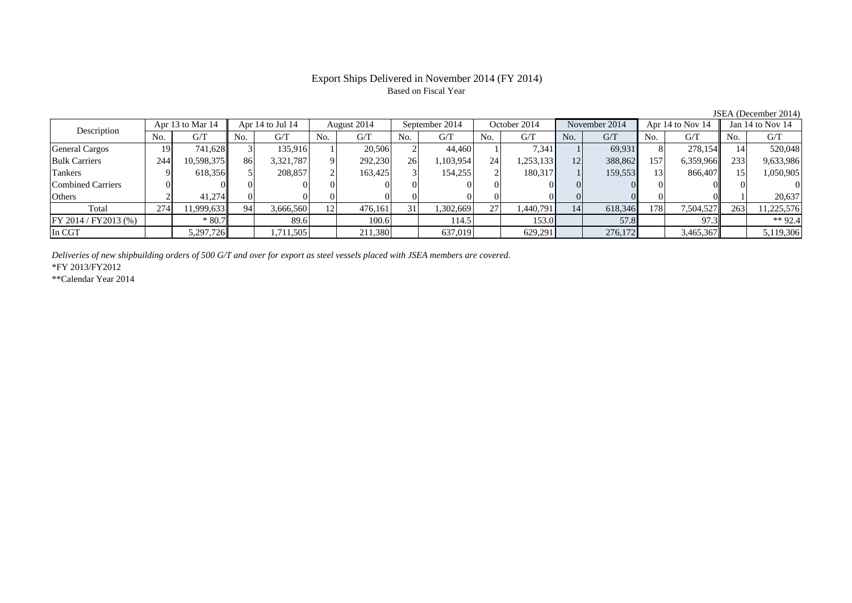## Export Ships Delivered in November 2014 (FY 2014) Based on Fiscal Year

| Description           |     | Apr 13 to Mar 14 |     | Apr $14$ to Jul $14$ |     | August 2014 |     | September 2014 |     | October 2014 |     | November 2014 |      | Apr 14 to Nov 14 |     | Jan 14 to Nov 14 |  |
|-----------------------|-----|------------------|-----|----------------------|-----|-------------|-----|----------------|-----|--------------|-----|---------------|------|------------------|-----|------------------|--|
|                       | No. | G/T              | No. | G/T                  | No. | G/T         | No. | G/T            | No. | G/T          | No. | G/T           | No.  | G/T              | No. | G/T              |  |
| <b>General Cargos</b> | 19  | 741,628          |     | 135.916              |     | 20.506      |     | 44,460         |     | 7,341        |     | 69.931        |      | 278,154          |     | 520,048          |  |
| <b>Bulk Carriers</b>  | 244 | 10,598,375       | 86  | 3,321,787            |     | 292,230     | 26  | 1,103,954      | 24  | 1,253,133    | 12  | 388,862       | 157  | 6,359,966        | 233 | 9,633,986        |  |
| <b>Tankers</b>        |     | 618,356          |     | 208,857              |     | 163,425     |     | 154,255        |     | 180,317      |     | 159,553       |      | 866,407          |     | 1,050,905        |  |
| Combined Carriers     |     |                  |     |                      |     |             |     |                |     |              |     |               |      |                  |     |                  |  |
| Others                |     | 41.274           |     |                      |     |             |     |                |     |              |     |               |      |                  |     | 20.637           |  |
| Total                 | 274 | 11,999,633       | 94  | 3,666,560            | 12  | 476.161     | 311 | .302.669       | 27  | 1,440,791    | 14  | 618,346       | 1781 | 7,504,527        | 263 | 11,225,576       |  |
| FY 2014 / FY 2013 (%) |     | $*80.7$          |     | 89.6                 |     | 100.6       |     | 114.5          |     | 153.0        |     | 57.8          |      | 97.3             |     | ** 92.4          |  |
| In CGT                |     | 5,297,726        |     | .711,505             |     | 211,380     |     | 637,019        |     | 629,291      |     | 276,172       |      | 3,465,367        |     | 5,119,306        |  |

*Deliveries of new shipbuilding orders of 500 G/T and over for export as steel vessels placed with JSEA members are covered.*

\*FY 2013/FY2012

\*\*Calendar Year 2014

JSEA (December 2014)